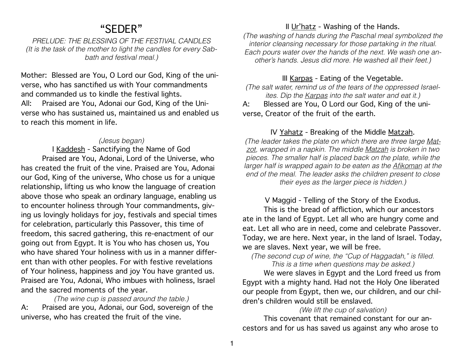# "SEDER"

*PRELUDE: THE BLESSING OF THE FESTIVAL CANDLES (It is the task of the mother to light the candles for every Sabbath and festival meal.)* 

Mother: Blessed are You, O Lord our God, King of the universe, who has sanctified us with Your commandments and commanded us to kindle the festival lights. All: Praised are You, Adonai our God, King of the Universe who has sustained us, maintained us and enabled us to reach this moment in life.

### *(Jesus began)*

I Kaddesh - Sanctifying the Name of God Praised are You, Adonai, Lord of the Universe, who has created the fruit of the vine. Praised are You, Adonai our God, King of the universe, Who chose us for a unique relationship, lifting us who know the language of creation above those who speak an ordinary language, enabling us to encounter holiness through Your commandments, giving us lovingly holidays for joy, festivals and special times for celebration, particularly this Passover, this time of freedom, this sacred gathering, this re-enactment of our going out from Egypt. It is You who has chosen us, You who have shared Your holiness with us in a manner different than with other peoples. For with festive revelations of Your holiness, happiness and joy You have granted us. Praised are You, Adonai, Who imbues with holiness, Israel and the sacred moments of the year.

*(The wine cup is passed around the table.)* A: Praised are you, Adonai, our God, sovereign of the universe, who has created the fruit of the vine.

# II Ur'hatz - Washing of the Hands.

*(The washing of hands during the Paschal meal symbolized the interior cleansing necessary for those partaking in the ritual. Each pours water over the hands of the next. We wash one another's hands. Jesus did more. He washed all their feet.)* 

# III Karpas - Eating of the Vegetable.

*(The salt water, remind us of the tears of the oppressed Israelites. Dip the Karpas into the salt water and eat it.)* 

A: Blessed are You, O Lord our God, King of the universe, Creator of the fruit of the earth.

# IV Yahatz - Breaking of the Middle Matzah.

*(The leader takes the plate on which there are three large Matzot, wrapped in a napkin. The middle Matzah is broken in two pieces. The smaller half is placed back on the plate, while the larger half is wrapped again to be eaten as the Afikoman at the end of the meal. The leader asks the children present to close their eyes as the larger piece is hidden.)* 

V Maggid - Telling of the Story of the Exodus.

This is the bread of affliction, which our ancestors ate in the land of Egypt. Let all who are hungry come and eat. Let all who are in need, come and celebrate Passover. Today, we are here. Next year, in the land of Israel. Today, we are slaves. Next year, we will be free.

*(The second cup of wine, the "Cup of Haggadah," is filled. This is a time when questions may be asked.)*

We were slaves in Egypt and the Lord freed us from Egypt with a mighty hand. Had not the Holy One liberated our people from Egypt, then we, our children, and our children's children would still be enslaved.

### *(We lift the cup of salvation)*

This covenant that remained constant for our ancestors and for us has saved us against any who arose to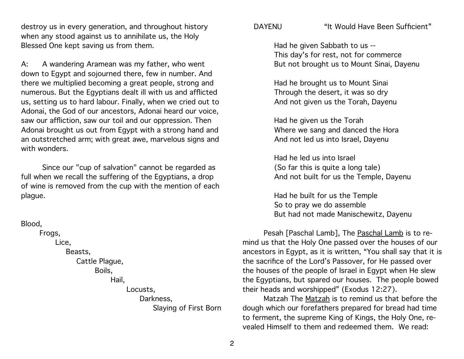destroy us in every generation, and throughout history when any stood against us to annihilate us, the Holy Blessed One kept saving us from them.

A: A wandering Aramean was my father, who went down to Egypt and sojourned there, few in number. And there we multiplied becoming a great people, strong and numerous. But the Egyptians dealt ill with us and afflicted us, setting us to hard labour. Finally, when we cried out to Adonai, the God of our ancestors, Adonai heard our voice, saw our affliction, saw our toil and our oppression. Then Adonai brought us out from Egypt with a strong hand and an outstretched arm; with great awe, marvelous signs and with wonders.

Since our "cup of salvation" cannot be regarded as full when we recall the suffering of the Egyptians, a drop of wine is removed from the cup with the mention of each plague.

#### Blood,

Frogs, Lice. Beasts. Cattle Plague, Boils, Hail, Locusts, Darkness. Slaying of First Born

# DAYENU "It Would Have Been Sufficient"

Had he given Sabbath to us -- This day's for rest, not for commerce But not brought us to Mount Sinai, Dayenu

Had he brought us to Mount Sinai Through the desert, it was so dry And not given us the Torah, Dayenu

Had he given us the Torah Where we sang and danced the Hora And not led us into Israel, Dayenu

Had he led us into Israel (So far this is quite a long tale) And not built for us the Temple, Dayenu

Had he built for us the Temple So to pray we do assemble But had not made Manischewitz, Dayenu

Pesah [Paschal Lamb], The Paschal Lamb is to remind us that the Holy One passed over the houses of our ancestors in Egypt, as it is written, "You shall say that it is the sacrifice of the Lord's Passover, for He passed over the houses of the people of Israel in Egypt when He slew the Egyptians, but spared our houses. The people bowed their heads and worshipped" (Exodus 12:27).

Matzah The Matzah is to remind us that before the dough which our forefathers prepared for bread had time to ferment, the supreme King of Kings, the Holy One, revealed Himself to them and redeemed them. We read: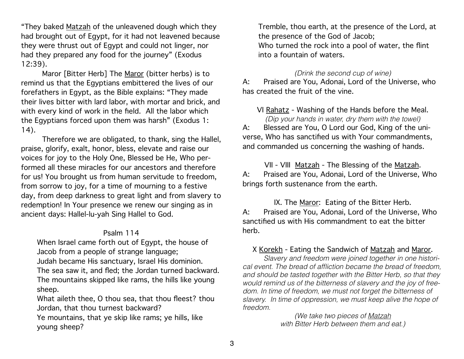"They baked Matzah of the unleavened dough which they had brought out of Egypt, for it had not leavened because they were thrust out of Egypt and could not linger, nor had they prepared any food for the journey" (Exodus 12:39).

Maror [Bitter Herb] The Maror (bitter herbs) is to remind us that the Egyptians embittered the lives of our forefathers in Egypt, as the Bible explains: "They made their lives bitter with lard labor, with mortar and brick, and with every kind of work in the field. All the labor which the Egyptians forced upon them was harsh" (Exodus 1: 14).

Therefore we are obligated, to thank, sing the Hallel, praise, glorify, exalt, honor, bless, elevate and raise our voices for joy to the Holy One, Blessed be He, Who performed all these miracles for our ancestors and therefore for us! You brought us from human servitude to freedom, from sorrow to joy, for a time of mourning to a festive day, from deep darkness to great light and from slavery to redemption! In Your presence we renew our singing as in ancient days: Hallel-lu-yah Sing Hallel to God.

#### Psalm 114

When Israel came forth out of Egypt, the house of Jacob from a people of strange language;

Judah became His sanctuary, Israel His dominion.

The sea saw it, and fled; the Jordan turned backward. The mountains skipped like rams, the hills like young sheep.

What aileth thee, O thou sea, that thou fleest? thou Jordan, that thou turnest backward?

Ye mountains, that ye skip like rams; ye hills, like young sheep?

Tremble, thou earth, at the presence of the Lord, at the presence of the God of Jacob; Who turned the rock into a pool of water, the flint into a fountain of waters.

#### *(Drink the second cup of wine)*

A: Praised are You, Adonai, Lord of the Universe, who has created the fruit of the vine.

### VI Rahatz - Washing of the Hands before the Meal.

*(Dip your hands in water, dry them with the towel)* A: Blessed are You, O Lord our God, King of the universe, Who has sanctified us with Your commandments, and commanded us concerning the washing of hands.

VII - VIII Matzah - The Blessing of the Matzah. A: Praised are You, Adonai, Lord of the Universe, Who brings forth sustenance from the earth.

IX. The Maror: Eating of the Bitter Herb. A: Praised are You, Adonai, Lord of the Universe, Who sanctified us with His commandment to eat the bitter herb.

### X Korekh - Eating the Sandwich of Matzah and Maror.

 *Slavery and freedom were joined together in one historical event. The bread of affliction became the bread of freedom, and should be tasted together with the Bitter Herb, so that they would remind us of the bitterness of slavery and the joy of freedom. In time of freedom, we must not forget the bitterness of slavery. In time of oppression, we must keep alive the hope of freedom.* 

> *(We take two pieces of Matzah with Bitter Herb between them and eat.)*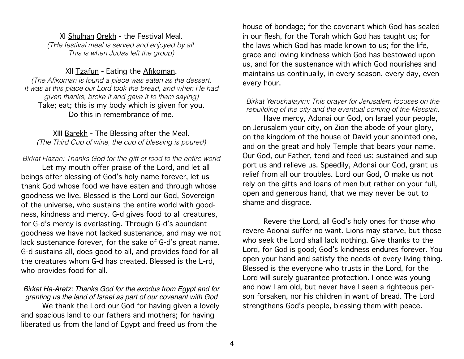### XI Shulhan Orekh - the Festival Meal.

*(THe festival meal is served and enjoyed by all. This is when Judas left the group)*

# XII Tzafun - Eating the Afikoman.

*(The Afikoman is found a piece was eaten as the dessert. It was at this place our Lord took the bread, and when He had given thanks, broke it and gave it to them saying)*  Take; eat; this is my body which is given for you. Do this in remembrance of me.

# XIII Barekh - The Blessing after the Meal.

*(The Third Cup of wine, the cup of blessing is poured)*

### *Birkat Hazan: Thanks God for the gift of food to the entire world*

Let my mouth offer praise of the Lord, and let all beings offer blessing of God's holy name forever, let us thank God whose food we have eaten and through whose goodness we live. Blessed is the Lord our God, Sovereign of the universe, who sustains the entire world with goodness, kindness and mercy. G-d gives food to all creatures, for G-d's mercy is everlasting. Through G-d's abundant goodness we have not lacked sustenance, and may we not lack sustenance forever, for the sake of G-d's great name. G-d sustains all, does good to all, and provides food for all the creatures whom G-d has created. Blessed is the L-rd, who provides food for all.

### *Birkat Ha-Aretz: Thanks God for the exodus from Egypt and for granting us the land of Israel as part of our covenant with God* We thank the Lord our God for having given a lovely and spacious land to our fathers and mothers; for having liberated us from the land of Egypt and freed us from the

house of bondage; for the covenant which God has sealed in our flesh, for the Torah which God has taught us; for the laws which God has made known to us; for the life, grace and loving kindness which God has bestowed upon us, and for the sustenance with which God nourishes and maintains us continually, in every season, every day, even every hour.

#### *Birkat Yerushalayim: This prayer for Jerusalem focuses on the rebuilding of the city and the eventual coming of the Messiah.*

Have mercy, Adonai our God, on Israel your people, on Jerusalem your city, on Zion the abode of your glory, on the kingdom of the house of David your anointed one, and on the great and holy Temple that bears your name. Our God, our Father, tend and feed us; sustained and support us and relieve us. Speedily, Adonai our God, grant us relief from all our troubles. Lord our God, O make us not rely on the gifts and loans of men but rather on your full, open and generous hand, that we may never be put to shame and disgrace.

Revere the Lord, all God's holy ones for those who revere Adonai suffer no want. Lions may starve, but those who seek the Lord shall lack nothing. Give thanks to the Lord, for God is good; God's kindness endures forever. You open your hand and satisfy the needs of every living thing. Blessed is the everyone who trusts in the Lord, for the Lord will surely guarantee protection. I once was young and now I am old, but never have I seen a righteous person forsaken, nor his children in want of bread. The Lord strengthens God's people, blessing them with peace.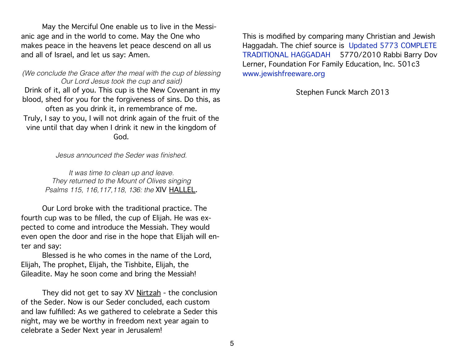May the Merciful One enable us to live in the Messianic age and in the world to come. May the One who makes peace in the heavens let peace descend on all us and all of Israel, and let us say: Amen.

*(We conclude the Grace after the meal with the cup of blessing Our Lord Jesus took the cup and said)* Drink of it, all of you. This cup is the New Covenant in my blood, shed for you for the forgiveness of sins. Do this, as often as you drink it, in remembrance of me. Truly, I say to you, I will not drink again of the fruit of the vine until that day when I drink it new in the kingdom of God.

*Jesus announced the Seder was finished.* 

*It was time to clean up and leave. They returned to the Mount of Olives singing Psalms 115, 116,117,118, 136: the* XIV HALLEL.

Our Lord broke with the traditional practice. The fourth cup was to be filled, the cup of Elijah. He was expected to come and introduce the Messiah. They would even open the door and rise in the hope that Elijah will enter and say:

Blessed is he who comes in the name of the Lord, Elijah, The prophet, Elijah, the Tishbite, Elijah, the Gileadite. May he soon come and bring the Messiah!

They did not get to say XV Nirtzah - the conclusion of the Seder. Now is our Seder concluded, each custom and law fulfilled: As we gathered to celebrate a Seder this night, may we be worthy in freedom next year again to celebrate a Seder Next year in Jerusalem!

This is modified by comparing many Christian and Jewish Haggadah. The chief source is [Updated 5773 COMPLETE](http://www.jewishfreeware.org/downloads/folder.2006-01-07.0640323187/5770COMPLETEMASTERHaggadahPaginated3-8-10WITHOUT%20SONGS.pdf)  [TRADITIONAL HAGGADAH](http://www.jewishfreeware.org/downloads/folder.2006-01-07.0640323187/5770COMPLETEMASTERHaggadahPaginated3-8-10WITHOUT%20SONGS.pdf) 5770/2010 Rabbi Barry Dov Lerner, Foundation For Family Education, Inc. 501c3 [www.jewishfreeware.org](http://www.jewishfreeware.org) 

Stephen Funck March 2013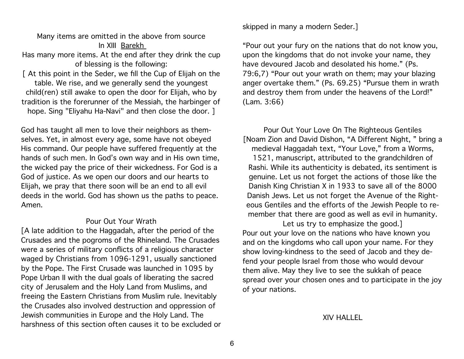Many items are omitted in the above from source In XIII Barekh

Has many more items. At the end after they drink the cup of blessing is the following:

[ At this point in the Seder, we fill the Cup of Elijah on the table. We rise, and we generally send the youngest child(ren) still awake to open the door for Elijah, who by tradition is the forerunner of the Messiah, the harbinger of hope. Sing "Eliyahu Ha-Navi" and then close the door. ]

God has taught all men to love their neighbors as themselves. Yet, in almost every age, some have not obeyed His command. Our people have suffered frequently at the hands of such men. In God's own way and in His own time, the wicked pay the price of their wickedness. For God is a God of justice. As we open our doors and our hearts to Elijah, we pray that there soon will be an end to all evil deeds in the world. God has shown us the paths to peace. Amen.

#### Pour Out Your Wrath

[A late addition to the Haggadah, after the period of the Crusades and the pogroms of the Rhineland. The Crusades were a series of military conflicts of a religious character waged by Christians from 1096-1291, usually sanctioned by the Pope. The First Crusade was launched in 1095 by Pope Urban II with the dual goals of liberating the sacred city of Jerusalem and the Holy Land from Muslims, and freeing the Eastern Christians from Muslim rule. Inevitably the Crusades also involved destruction and oppression of Jewish communities in Europe and the Holy Land. The harshness of this section often causes it to be excluded or skipped in many a modern Seder.]

"Pour out your fury on the nations that do not know you, upon the kingdoms that do not invoke your name, they have devoured Jacob and desolated his home." (Ps. 79:6,7) "Pour out your wrath on them; may your blazing anger overtake them." (Ps. 69.25) "Pursue them in wrath and destroy them from under the heavens of the Lord!" (Lam. 3:66)

Pour Out Your Love On The Righteous Gentiles [Noam Zion and David Dishon, "A Different Night, " bring a medieval Haggadah text, "Your Love," from a Worms, 1521, manuscript, attributed to the grandchildren of Rashi. While its authenticity is debated, its sentiment is genuine. Let us not forget the actions of those like the Danish King Christian X in 1933 to save all of the 8000 Danish Jews. Let us not forget the Avenue of the Righteous Gentiles and the efforts of the Jewish People to remember that there are good as well as evil in humanity.

Let us try to emphasize the good.] Pour out your love on the nations who have known you and on the kingdoms who call upon your name. For they show loving-kindness to the seed of Jacob and they defend your people Israel from those who would devour them alive. May they live to see the sukkah of peace spread over your chosen ones and to participate in the joy of your nations.

#### XIV HALLEL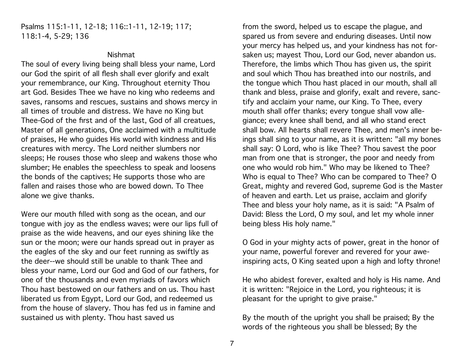### Psalms 115:1-11, 12-18; 116::1-11, 12-19; 117; 118:1-4, 5-29; 136

#### Nishmat

The soul of every living being shall bless your name, Lord our God the spirit of all flesh shall ever glorify and exalt your remembrance, our King. Throughout eternity Thou art God. Besides Thee we have no king who redeems and saves, ransoms and rescues, sustains and shows mercy in all times of trouble and distress. We have no King but Thee-God of the first and of the last, God of all creatues, Master of all generations, One acclaimed with a multitude of praises, He who guides His world with kindness and His creatures with mercy. The Lord neither slumbers nor sleeps; He rouses those who sleep and wakens those who slumber; He enables the speechless to speak and loosens the bonds of the captives; He supports those who are fallen and raises those who are bowed down. To Thee alone we give thanks.

Were our mouth filled with song as the ocean, and our tongue with joy as the endless waves; were our lips full of praise as the wide heavens, and our eyes shining like the sun or the moon; were our hands spread out in prayer as the eagles of the sky and our feet running as swiftly as the deer--we should still be unable to thank Thee and bless your name, Lord our God and God of our fathers, for one of the thousands and even myriads of favors which Thou hast bestowed on our fathers and on us. Thou hast liberated us from Egypt, Lord our God, and redeemed us from the house of slavery. Thou has fed us in famine and sustained us with plenty. Thou hast saved us

from the sword, helped us to escape the plague, and spared us from severe and enduring diseases. Until now your mercy has helped us, and your kindness has not forsaken us; mayest Thou, Lord our God, never abandon us. Therefore, the limbs which Thou has given us, the spirit and soul which Thou has breathed into our nostrils, and the tongue which Thou hast placed in our mouth, shall all thank and bless, praise and glorify, exalt and revere, sanctify and acclaim your name, our King. To Thee, every mouth shall offer thanks; every tongue shall vow allegiance; every knee shall bend, and all who stand erect shall bow. All hearts shall revere Thee, and men's inner beings shall sing to your name, as it is written: "all my bones shall say: O Lord, who is like Thee? Thou savest the poor man from one that is stronger, the poor and needy from one who would rob him." Who may be likened to Thee? Who is equal to Thee? Who can be compared to Thee? O Great, mighty and revered God, supreme God is the Master of heaven and earth. Let us praise, acclaim and glorify Thee and bless your holy name, as it is said: "A Psalm of David: Bless the Lord, O my soul, and let my whole inner being bless His holy name."

O God in your mighty acts of power, great in the honor of your name, powerful forever and revered for your aweinspiring acts, O King seated upon a high and lofty throne!

He who abidest forever, exalted and holy is His name. And it is written: "Rejoice in the Lord, you righteous; it is pleasant for the upright to give praise."

By the mouth of the upright you shall be praised; By the words of the righteous you shall be blessed; By the